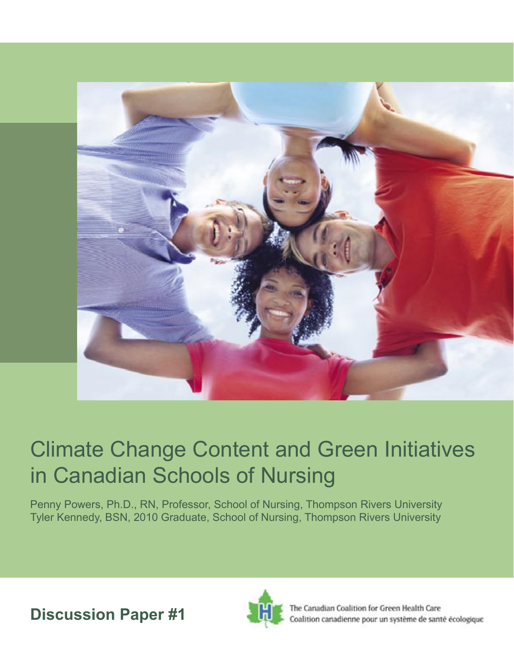

# Climate Change Content and Green Initiatives in Canadian Schools of Nursing

Penny Powers, Ph.D., RN, Professor, School of Nursing, Thompson Rivers University Tyler Kennedy, BSN, 2010 Graduate, School of Nursing, Thompson Rivers University

**Discussion Paper #1** 



The Canadian Coalition for Green Health Care Coalition canadienne pour un système de santé écologique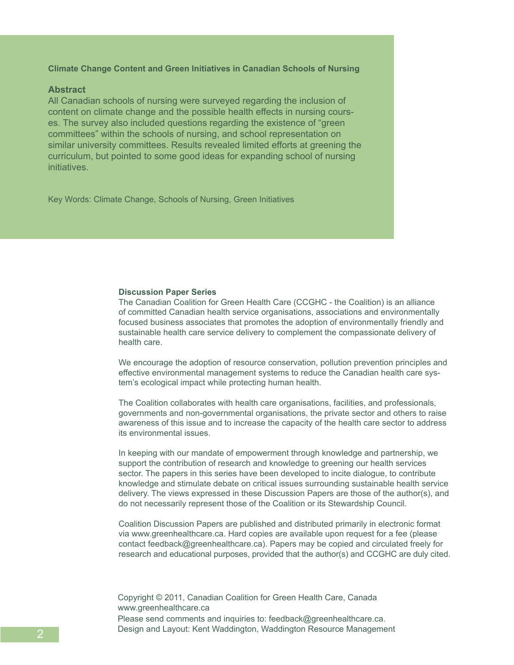# **Climate Change Content and Green Initiatives in Canadian Schools of Nursing**

# **Abstract**

All Canadian schools of nursing were surveyed regarding the inclusion of content on climate change and the possible health effects in nursing courses. The survey also included questions regarding the existence of "green committees" within the schools of nursing, and school representation on similar university committees. Results revealed limited efforts at greening the curriculum, but pointed to some good ideas for expanding school of nursing initiatives.

Key Words: Climate Change, Schools of Nursing, Green Initiatives

#### **Discussion Paper Series**

The Canadian Coalition for Green Health Care (CCGHC - the Coalition) is an alliance of committed Canadian health service organisations, associations and environmentally focused business associates that promotes the adoption of environmentally friendly and sustainable health care service delivery to complement the compassionate delivery of health care.

We encourage the adoption of resource conservation, pollution prevention principles and effective environmental management systems to reduce the Canadian health care system's ecological impact while protecting human health.

The Coalition collaborates with health care organisations, facilities, and professionals, governments and non-governmental organisations, the private sector and others to raise awareness of this issue and to increase the capacity of the health care sector to address its environmental issues.

In keeping with our mandate of empowerment through knowledge and partnership, we support the contribution of research and knowledge to greening our health services sector. The papers in this series have been developed to incite dialogue, to contribute knowledge and stimulate debate on critical issues surrounding sustainable health service delivery. The views expressed in these Discussion Papers are those of the author(s), and do not necessarily represent those of the Coalition or its Stewardship Council.

Coalition Discussion Papers are published and distributed primarily in electronic format via www.greenhealthcare.ca. Hard copies are available upon request for a fee (please contact feedback@greenhealthcare.ca). Papers may be copied and circulated freely for research and educational purposes, provided that the author(s) and CCGHC are duly cited.

Copyright © 2011, Canadian Coalition for Green Health Care, Canada www.greenhealthcare.ca Please send comments and inquiries to: feedback@greenhealthcare.ca. Design and Layout: Kent Waddington, Waddington Resource Management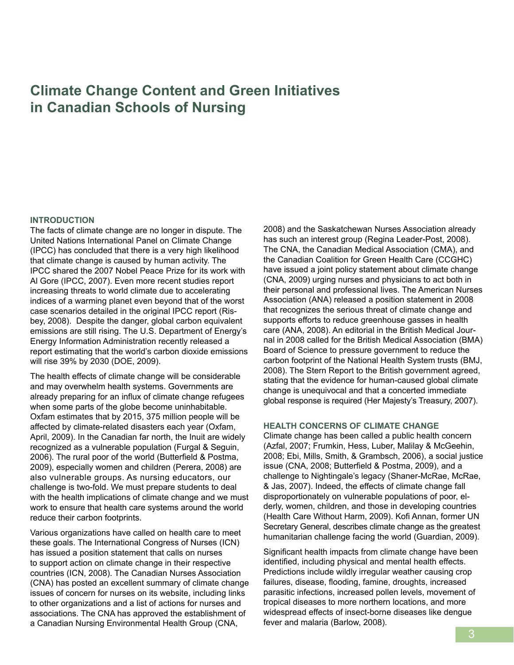# **Climate Change Content and Green Initiatives in Canadian Schools of Nursing**

#### **INTRODUCTION**

The facts of climate change are no longer in dispute. The United Nations International Panel on Climate Change (IPCC) has concluded that there is a very high likelihood that climate change is caused by human activity. The IPCC shared the 2007 Nobel Peace Prize for its work with Al Gore (IPCC, 2007). Even more recent studies report increasing threats to world climate due to accelerating indices of a warming planet even beyond that of the worst case scenarios detailed in the original IPCC report (Risbey, 2008). Despite the danger, global carbon equivalent emissions are still rising. The U.S. Department of Energy's Energy Information Administration recently released a report estimating that the world's carbon dioxide emissions will rise 39% by 2030 (DOE, 2009).

The health effects of climate change will be considerable and may overwhelm health systems. Governments are already preparing for an influx of climate change refugees when some parts of the globe become uninhabitable. Oxfam estimates that by 2015, 375 million people will be affected by climate-related disasters each year (Oxfam, April, 2009). In the Canadian far north, the Inuit are widely recognized as a vulnerable population (Furgal & Seguin, 2006). The rural poor of the world (Butterfield & Postma, 2009), especially women and children (Perera, 2008) are also vulnerable groups. As nursing educators, our challenge is two-fold. We must prepare students to deal with the health implications of climate change and we must work to ensure that health care systems around the world reduce their carbon footprints.

Various organizations have called on health care to meet these goals. The International Congress of Nurses (ICN) has issued a position statement that calls on nurses to support action on climate change in their respective countries (ICN, 2008). The Canadian Nurses Association (CNA) has posted an excellent summary of climate change issues of concern for nurses on its website, including links to other organizations and a list of actions for nurses and associations. The CNA has approved the establishment of a Canadian Nursing Environmental Health Group (CNA,

2008) and the Saskatchewan Nurses Association already has such an interest group (Regina Leader-Post, 2008). The CNA, the Canadian Medical Association (CMA), and the Canadian Coalition for Green Health Care (CCGHC) have issued a joint policy statement about climate change (CNA, 2009) urging nurses and physicians to act both in their personal and professional lives. The American Nurses Association (ANA) released a position statement in 2008 that recognizes the serious threat of climate change and supports efforts to reduce greenhouse gasses in health care (ANA, 2008). An editorial in the British Medical Journal in 2008 called for the British Medical Association (BMA) Board of Science to pressure government to reduce the carbon footprint of the National Health System trusts (BMJ, 2008). The Stern Report to the British government agreed, stating that the evidence for human-caused global climate change is unequivocal and that a concerted immediate global response is required (Her Majesty's Treasury, 2007).

#### **HEALTH CONCERNS OF CLIMATE CHANGE**

Climate change has been called a public health concern (Azfal, 2007; Frumkin, Hess, Luber, Malilay & McGeehin, 2008; Ebi, Mills, Smith, & Grambsch, 2006), a social justice issue (CNA, 2008; Butterfield & Postma, 2009), and a challenge to Nightingale's legacy (Shaner-McRae, McRae, & Jas, 2007). Indeed, the effects of climate change fall disproportionately on vulnerable populations of poor, elderly, women, children, and those in developing countries (Health Care Without Harm, 2009). Kofi Annan, former UN Secretary General, describes climate change as the greatest humanitarian challenge facing the world (Guardian, 2009).

Significant health impacts from climate change have been identified, including physical and mental health effects. Predictions include wildly irregular weather causing crop failures, disease, flooding, famine, droughts, increased parasitic infections, increased pollen levels, movement of tropical diseases to more northern locations, and more widespread effects of insect-borne diseases like dengue fever and malaria (Barlow, 2008).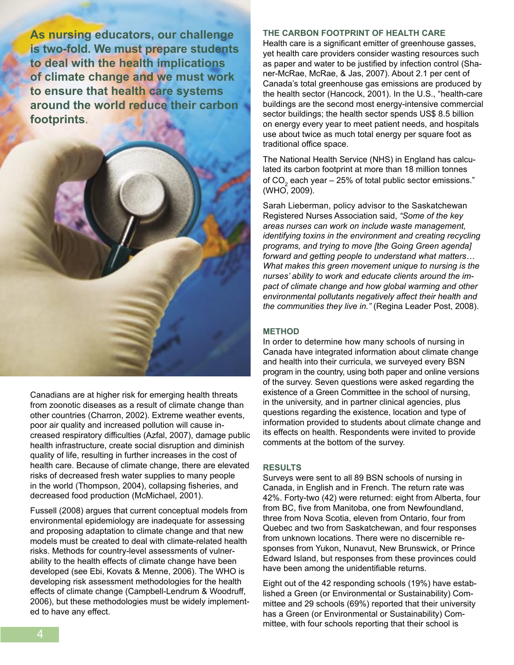**As nursing educators, our challenge is two-fold. We must prepare students to deal with the health implications of climate change and we must work to ensure that health care systems around the world reduce their carbon footprints**.



Canadians are at higher risk for emerging health threats from zoonotic diseases as a result of climate change than other countries (Charron, 2002). Extreme weather events, poor air quality and increased pollution will cause increased respiratory difficulties (Azfal, 2007), damage public health infrastructure, create social disruption and diminish quality of life, resulting in further increases in the cost of health care. Because of climate change, there are elevated risks of decreased fresh water supplies to many people in the world (Thompson, 2004), collapsing fisheries, and decreased food production (McMichael, 2001).

Fussell (2008) argues that current conceptual models from environmental epidemiology are inadequate for assessing and proposing adaptation to climate change and that new models must be created to deal with climate-related health risks. Methods for country-level assessments of vulnerability to the health effects of climate change have been developed (see Ebi, Kovats & Menne, 2006). The WHO is developing risk assessment methodologies for the health effects of climate change (Campbell-Lendrum & Woodruff, 2006), but these methodologies must be widely implemented to have any effect.

#### **THE CARBON FOOTPRINT OF HEALTH CARE**

Health care is a significant emitter of greenhouse gasses, yet health care providers consider wasting resources such as paper and water to be justified by infection control (Shaner-McRae, McRae, & Jas, 2007). About 2.1 per cent of Canada's total greenhouse gas emissions are produced by the health sector (Hancock, 2001). In the U.S., "health-care buildings are the second most energy-intensive commercial sector buildings; the health sector spends US\$ 8.5 billion on energy every year to meet patient needs, and hospitals use about twice as much total energy per square foot as traditional office space.

The National Health Service (NHS) in England has calculated its carbon footprint at more than 18 million tonnes of CO $_2$  each year – 25% of total public sector emissions." (WHO, 2009).

Sarah Lieberman, policy advisor to the Saskatchewan Registered Nurses Association said, *"Some of the key areas nurses can work on include waste management, identifying toxins in the environment and creating recycling programs, and trying to move [the Going Green agenda] forward and getting people to understand what matters… What makes this green movement unique to nursing is the nurses' ability to work and educate clients around the impact of climate change and how global warming and other environmental pollutants negatively affect their health and the communities they live in."* (Regina Leader Post, 2008).

#### **METHOD**

In order to determine how many schools of nursing in Canada have integrated information about climate change and health into their curricula, we surveyed every BSN program in the country, using both paper and online versions of the survey. Seven questions were asked regarding the existence of a Green Committee in the school of nursing, in the university, and in partner clinical agencies, plus questions regarding the existence, location and type of information provided to students about climate change and its effects on health. Respondents were invited to provide comments at the bottom of the survey.

#### **RESULTS**

Surveys were sent to all 89 BSN schools of nursing in Canada, in English and in French. The return rate was 42%. Forty-two (42) were returned: eight from Alberta, four from BC, five from Manitoba, one from Newfoundland, three from Nova Scotia, eleven from Ontario, four from Quebec and two from Saskatchewan, and four responses from unknown locations. There were no discernible responses from Yukon, Nunavut, New Brunswick, or Prince Edward Island, but responses from these provinces could have been among the unidentifiable returns.

Eight out of the 42 responding schools (19%) have established a Green (or Environmental or Sustainability) Committee and 29 schools (69%) reported that their university has a Green (or Environmental or Sustainability) Committee, with four schools reporting that their school is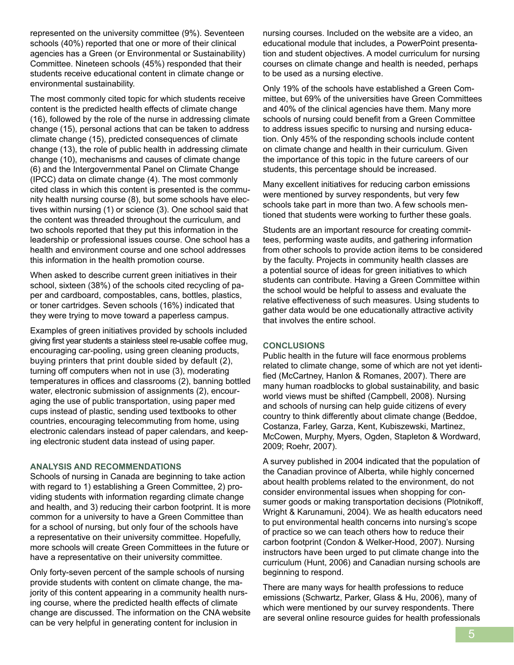represented on the university committee (9%). Seventeen schools (40%) reported that one or more of their clinical agencies has a Green (or Environmental or Sustainability) Committee. Nineteen schools (45%) responded that their students receive educational content in climate change or environmental sustainability.

The most commonly cited topic for which students receive content is the predicted health effects of climate change (16), followed by the role of the nurse in addressing climate change (15), personal actions that can be taken to address climate change (15), predicted consequences of climate change (13), the role of public health in addressing climate change (10), mechanisms and causes of climate change (6) and the Intergovernmental Panel on Climate Change (IPCC) data on climate change (4). The most commonly cited class in which this content is presented is the community health nursing course (8), but some schools have electives within nursing (1) or science (3). One school said that the content was threaded throughout the curriculum, and two schools reported that they put this information in the leadership or professional issues course. One school has a health and environment course and one school addresses this information in the health promotion course.

When asked to describe current green initiatives in their school, sixteen (38%) of the schools cited recycling of paper and cardboard, compostables, cans, bottles, plastics, or toner cartridges. Seven schools (16%) indicated that they were trying to move toward a paperless campus.

Examples of green initiatives provided by schools included giving first year students a stainless steel re-usable coffee mug, encouraging car-pooling, using green cleaning products, buying printers that print double sided by default (2), turning off computers when not in use (3), moderating temperatures in offices and classrooms (2), banning bottled water, electronic submission of assignments (2), encouraging the use of public transportation, using paper med cups instead of plastic, sending used textbooks to other countries, encouraging telecommuting from home, using electronic calendars instead of paper calendars, and keeping electronic student data instead of using paper.

# **ANALYSIS AND RECOMMENDATIONS**

Schools of nursing in Canada are beginning to take action with regard to 1) establishing a Green Committee, 2) providing students with information regarding climate change and health, and 3) reducing their carbon footprint. It is more common for a university to have a Green Committee than for a school of nursing, but only four of the schools have a representative on their university committee. Hopefully, more schools will create Green Committees in the future or have a representative on their university committee.

Only forty-seven percent of the sample schools of nursing provide students with content on climate change, the majority of this content appearing in a community health nursing course, where the predicted health effects of climate change are discussed. The information on the CNA website can be very helpful in generating content for inclusion in

nursing courses. Included on the website are a video, an educational module that includes, a PowerPoint presentation and student objectives. A model curriculum for nursing courses on climate change and health is needed, perhaps to be used as a nursing elective.

Only 19% of the schools have established a Green Committee, but 69% of the universities have Green Committees and 40% of the clinical agencies have them. Many more schools of nursing could benefit from a Green Committee to address issues specific to nursing and nursing education. Only 45% of the responding schools include content on climate change and health in their curriculum. Given the importance of this topic in the future careers of our students, this percentage should be increased.

Many excellent initiatives for reducing carbon emissions were mentioned by survey respondents, but very few schools take part in more than two. A few schools mentioned that students were working to further these goals.

Students are an important resource for creating committees, performing waste audits, and gathering information from other schools to provide action items to be considered by the faculty. Projects in community health classes are a potential source of ideas for green initiatives to which students can contribute. Having a Green Committee within the school would be helpful to assess and evaluate the relative effectiveness of such measures. Using students to gather data would be one educationally attractive activity that involves the entire school.

# **CONCLUSIONS**

Public health in the future will face enormous problems related to climate change, some of which are not yet identified (McCartney, Hanlon & Romanes, 2007). There are many human roadblocks to global sustainability, and basic world views must be shifted (Campbell, 2008). Nursing and schools of nursing can help guide citizens of every country to think differently about climate change (Beddoe, Costanza, Farley, Garza, Kent, Kubiszewski, Martinez, McCowen, Murphy, Myers, Ogden, Stapleton & Wordward, 2009; Roehr, 2007).

A survey published in 2004 indicated that the population of the Canadian province of Alberta, while highly concerned about health problems related to the environment, do not consider environmental issues when shopping for consumer goods or making transportation decisions (Plotnikoff, Wright & Karunamuni, 2004). We as health educators need to put environmental health concerns into nursing's scope of practice so we can teach others how to reduce their carbon footprint (Condon & Welker-Hood, 2007). Nursing instructors have been urged to put climate change into the curriculum (Hunt, 2006) and Canadian nursing schools are beginning to respond.

There are many ways for health professions to reduce emissions (Schwartz, Parker, Glass & Hu, 2006), many of which were mentioned by our survey respondents. There are several online resource guides for health professionals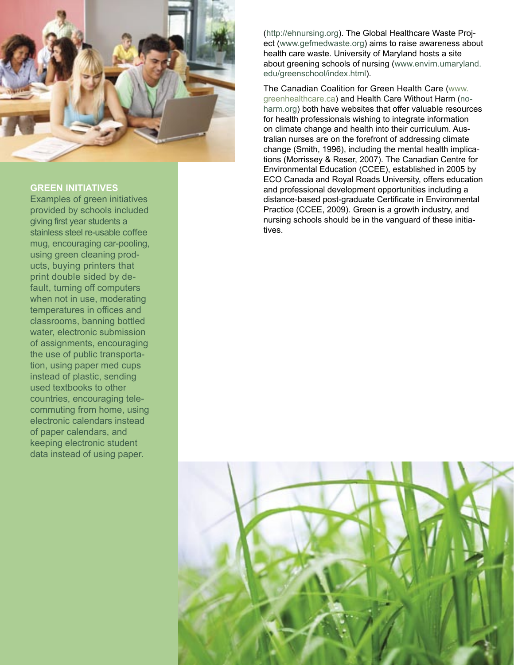

# **GREEN INITIATIVES**

Examples of green initiatives provided by schools included giving first year students a stainless steel re-usable coffee mug, encouraging car-pooling, using green cleaning prod ucts, buying printers that print double sided by de fault, turning off computers when not in use, moderating temperatures in offices and classrooms, banning bottled water, electronic submission of assignments, encouraging the use of public transporta tion, using paper med cups instead of plastic, sending used textbooks to other countries, encouraging tele commuting from home, using electronic calendars instead of paper calendars, and keeping electronic student data instead of using paper.

(http://ehnursing.org). The Global Healthcare Waste Proj ect (www.gefmedwaste.org) aims to raise awareness about health care waste. University of Maryland hosts a site about greening schools of nursing (www.envirn.umaryland. edu/greenschool/index.html).

The Canadian Coalition for Green Health Care (www. greenhealthcare.ca) and Health Care Without Harm (no harm.org) both have websites that offer valuable resources for health professionals wishing to integrate information on climate change and health into their curriculum. Aus tralian nurses are on the forefront of addressing climate change (Smith, 1996), including the mental health implica tions (Morrissey & Reser, 2007). The Canadian Centre for Environmental Education (CCEE), established in 2005 by ECO Canada and Royal Roads University, offers education and professional development opportunities including a distance-based post-graduate Certificate in Environmental Practice (CCEE, 2009). Green is a growth industry, and nursing schools should be in the vanguard of these initia tives.

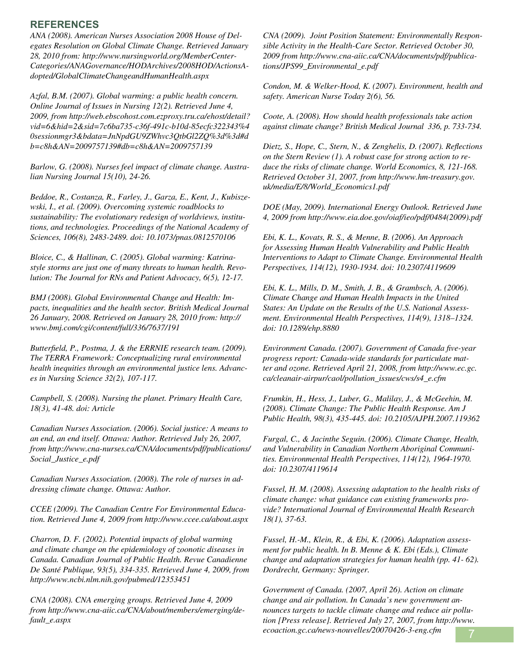# **REFERENCES**

*ANA (2008). American Nurses Association 2008 House of Delegates Resolution on Global Climate Change. Retrieved January 28, 2010 from: http://www.nursingworld.org/MemberCenter-Categories/ANAGovernance/HODArchives/2008HOD/ActionsAdopted/GlobalClimateChangeandHumanHealth.aspx*

*Azfal, B.M. (2007). Global warming: a public health concern. Online Journal of Issues in Nursing 12(2). Retrieved June 4, 2009, from http://web.ebscohost.com.ezproxy.tru.ca/ehost/detail? vid=6&hid=2&sid=7c6ba735-c36f-491c-b10d-85ecfc322343%4 0sessionmgr3&bdata=JnNpdGU9ZWhvc3QtbGl2ZQ%3d%3d#d b=c8h&AN=2009757139#db=c8h&AN=2009757139*

*Barlow, G. (2008). Nurses feel impact of climate change. Australian Nursing Journal 15(10), 24-26.* 

*Beddoe, R., Costanza, R., Farley, J., Garza, E., Kent, J., Kubiszewski, I., et al. (2009). Overcoming systemic roadblocks to sustainability: The evolutionary redesign of worldviews, institutions, and technologies. Proceedings of the National Academy of Sciences, 106(8), 2483-2489. doi: 10.1073/pnas.0812570106* 

*Bloice, C., & Hallinan, C. (2005). Global warming: Katrinastyle storms are just one of many threats to human health. Revolution: The Journal for RNs and Patient Advocacy, 6(5), 12-17.* 

*BMJ (2008). Global Environmental Change and Health: Impacts, inequalities and the health sector. British Medical Journal 26 January, 2008. Retrieved on January 28, 2010 from: http:// www.bmj.com/cgi/content/full/336/7637/191*

*Butterfield, P., Postma, J. & the ERRNIE research team. (2009). The TERRA Framework: Conceptualizing rural environmental health inequities through an environmental justice lens. Advances in Nursing Science 32(2), 107-117.* 

*Campbell, S. (2008). Nursing the planet. Primary Health Care, 18(3), 41-48. doi: Article* 

*Canadian Nurses Association. (2006). Social justice: A means to an end, an end itself. Ottawa: Author. Retrieved July 26, 2007, from http://www.cna-nurses.ca/CNA/documents/pdf/publications/ Social\_Justice\_e.pdf*

*Canadian Nurses Association. (2008). The role of nurses in addressing climate change. Ottawa: Author.*

*CCEE (2009). The Canadian Centre For Environmental Education. Retrieved June 4, 2009 from http://www.ccee.ca/about.aspx*

*Charron, D. F. (2002). Potential impacts of global warming and climate change on the epidemiology of zoonotic diseases in Canada. Canadian Journal of Public Health. Revue Canadienne De Santé Publique, 93(5), 334-335. Retrieved June 4, 2009, from http://www.ncbi.nlm.nih.gov/pubmed/12353451* 

*CNA (2008). CNA emerging groups. Retrieved June 4, 2009 from http://www.cna-aiic.ca/CNA/about/members/emerging/default\_e.aspx*

*CNA (2009). Joint Position Statement: Environmentally Responsible Activity in the Health-Care Sector. Retrieved October 30, 2009 from http://www.cna-aiic.ca/CNA/documents/pdf/publications/JPS99\_Environmental\_e.pdf*

*Condon, M. & Welker-Hood, K. (2007). Environment, health and safety. American Nurse Today 2(6), 56.*

*Coote, A. (2008). How should health professionals take action against climate change? British Medical Journal 336, p. 733-734.*

*Dietz, S., Hope, C., Stern, N., & Zenghelis, D. (2007). Reflections on the Stern Review (1). A robust case for strong action to reduce the risks of climate change. World Economics, 8, 121-168. Retrieved October 31, 2007, from http://www.hm-treasury.gov. uk/media/E/8/World\_Economics1.pdf*

*DOE (May, 2009). International Energy Outlook. Retrieved June 4, 2009 from http://www.eia.doe.gov/oiaf/ieo/pdf/0484(2009).pdf*

*Ebi, K. L., Kovats, R. S., & Menne, B. (2006). An Approach for Assessing Human Health Vulnerability and Public Health Interventions to Adapt to Climate Change. Environmental Health Perspectives, 114(12), 1930-1934. doi: 10.2307/4119609* 

*Ebi, K. L., Mills, D. M., Smith, J. B., & Grambsch, A. (2006). Climate Change and Human Health Impacts in the United States: An Update on the Results of the U.S. National Assessment. Environmental Health Perspectives, 114(9), 1318–1324. doi: 10.1289/ehp.8880* 

*Environment Canada. (2007). Government of Canada five-year progress report: Canada-wide standards for particulate matter and ozone. Retrieved April 21, 2008, from http://www.ec.gc. ca/cleanair-airpur/caol/pollution\_issues/cws/s4\_e.cfm* 

*Frumkin, H., Hess, J., Luber, G., Malilay, J., & McGeehin, M. (2008). Climate Change: The Public Health Response. Am J Public Health, 98(3), 435-445. doi: 10.2105/AJPH.2007.119362* 

*Furgal, C., & Jacinthe Seguin. (2006). Climate Change, Health, and Vulnerability in Canadian Northern Aboriginal Communities. Environmental Health Perspectives, 114(12), 1964-1970. doi: 10.2307/4119614* 

*Fussel, H. M. (2008). Assessing adaptation to the health risks of climate change: what guidance can existing frameworks provide? International Journal of Environmental Health Research 18(1), 37-63.* 

*Fussel, H.-M., Klein, R., & Ebi, K. (2006). Adaptation assessment for public health. In B. Menne & K. Ebi (Eds.), Climate change and adaptation strategies for human health (pp. 41- 62). Dordrecht, Germany: Springer.*

*Government of Canada. (2007, April 26). Action on climate change and air pollution. In Canada's new government announces targets to tackle climate change and reduce air pollution [Press release]. Retrieved July 27, 2007, from http://www. ecoaction.gc.ca/news-nouvelles/20070426-3-eng.cfm* 7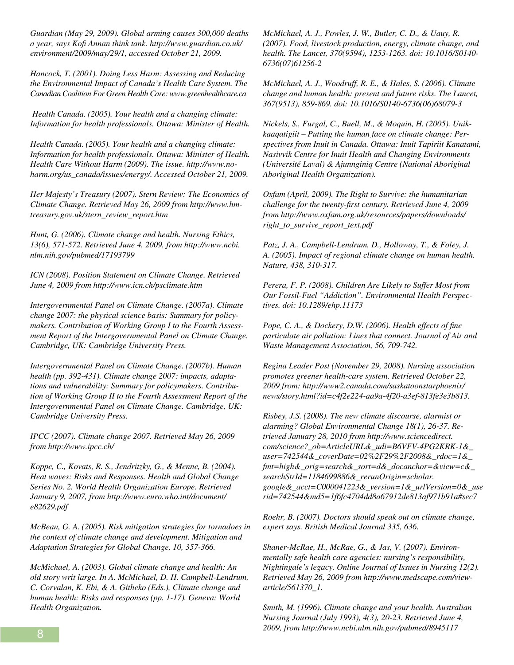*Guardian (May 29, 2009). Global arming causes 300,000 deaths a year, says Kofi Annan think tank. http://www.guardian.co.uk/ environment/2009/may/29/1, accessed October 21, 2009.* 

*Hancock, T. (2001). Doing Less Harm: Assessing and Reducing the Environmental Impact of Canada's Health Care System. The Canadian Coalition For Green Health Care: www.greenhealthcare.ca*

 *Health Canada. (2005). Your health and a changing climate: Information for health professionals. Ottawa: Minister of Health.* 

*Health Canada. (2005). Your health and a changing climate: Information for health professionals. Ottawa: Minister of Health. Health Care Without Harm (2009). The issue. http://www.noharm.org/us\_canada/issues/energy/. Accessed October 21, 2009.* 

*Her Majesty's Treasury (2007). Stern Review: The Economics of Climate Change. Retrieved May 26, 2009 from http://www.hmtreasury.gov.uk/stern\_review\_report.htm*

*Hunt, G. (2006). Climate change and health. Nursing Ethics, 13(6), 571-572. Retrieved June 4, 2009, from http://www.ncbi. nlm.nih.gov/pubmed/17193799* 

*ICN (2008). Position Statement on Climate Change. Retrieved June 4, 2009 from http://www.icn.ch/psclimate.htm*

*Intergovernmental Panel on Climate Change. (2007a). Climate change 2007: the physical science basis: Summary for policymakers. Contribution of Working Group I to the Fourth Assessment Report of the Intergovernmental Panel on Climate Change. Cambridge, UK: Cambridge University Press.* 

*Intergovernmental Panel on Climate Change. (2007b). Human health (pp. 392-431). Climate change 2007: impacts, adaptations and vulnerability: Summary for policymakers. Contribution of Working Group II to the Fourth Assessment Report of the Intergovernmental Panel on Climate Change. Cambridge, UK: Cambridge University Press.*

*IPCC (2007). Climate change 2007. Retrieved May 26, 2009 from http://www.ipcc.ch/*

*Koppe, C., Kovats, R. S., Jendritzky, G., & Menne, B. (2004). Heat waves: Risks and Responses. Health and Global Change Series No. 2. World Health Organization Europe. Retrieved January 9, 2007, from http://www.euro.who.int/document/ e82629.pdf* 

*McBean, G. A. (2005). Risk mitigation strategies for tornadoes in the context of climate change and development. Mitigation and Adaptation Strategies for Global Change, 10, 357-366.*

*McMichael, A. (2003). Global climate change and health: An old story writ large. In A. McMichael, D. H. Campbell-Lendrum, C. Corvalan, K. Ebi, & A. Githeko (Eds.), Climate change and human health: Risks and responses (pp. 1-17). Geneva: World Health Organization.*

*McMichael, A. J., Powles, J. W., Butler, C. D., & Uauy, R. (2007). Food, livestock production, energy, climate change, and health. The Lancet, 370(9594), 1253-1263. doi: 10.1016/S0140- 6736(07)61256-2* 

*McMichael, A. J., Woodruff, R. E., & Hales, S. (2006). Climate change and human health: present and future risks. The Lancet, 367(9513), 859-869. doi: 10.1016/S0140-6736(06)68079-3* 

*Nickels, S., Furgal, C., Buell, M., & Moquin, H. (2005). Unikkaaqatigiit – Putting the human face on climate change: Perspectives from Inuit in Canada. Ottawa: Inuit Tapiriit Kanatami, Nasivvik Centre for Inuit Health and Changing Environments (Université Laval) & Ajunnginiq Centre (National Aboriginal Aboriginal Health Organization).* 

*Oxfam (April, 2009). The Right to Survive: the humanitarian challenge for the twenty-first century. Retrieved June 4, 2009 from http://www.oxfam.org.uk/resources/papers/downloads/ right\_to\_survive\_report\_text.pdf*

Patz, J. A., Campbell-Lendrum, D., Holloway, T., & Foley, J. *A. (2005). Impact of regional climate change on human health. Nature, 438, 310-317.*

*Perera, F. P. (2008). Children Are Likely to Suffer Most from Our Fossil-Fuel "Addiction". Environmental Health Perspectives. doi: 10.1289/ehp.11173* 

*Pope, C. A., & Dockery, D.W. (2006). Health effects of fine particulate air pollution: Lines that connect. Journal of Air and Waste Management Association, 56, 709-742.*

*Regina Leader Post (November 29, 2008). Nursing association promotes greener health-care system. Retrieved October 22, 2009 from: http://www2.canada.com/saskatoonstarphoenix/ news/story.html?id=c4f2e224-aa9a-4f20-a3ef-813fe3e3b813.* 

*Risbey, J.S. (2008). The new climate discourse, alarmist or alarming? Global Environmental Change 18(1), 26-37. Retrieved January 28, 2010 from http://www.sciencedirect. com/science?\_ob=ArticleURL&\_udi=B6VFV-4PG2KRK-1&\_ user=742544&\_coverDate=02%2F29%2F2008&\_rdoc=1&\_ fmt=high&\_orig=search&\_sort=d&\_docanchor=&view=c&\_ searchStrId=1184699886&\_rerunOrigin=scholar. google&\_acct=C000041223&\_version=1&\_urlVersion=0&\_use rid=742544&md5=1f6fc4704dd8a67912de813af971b91a#sec7*

*Roehr, B. (2007). Doctors should speak out on climate change, expert says. British Medical Journal 335, 636.* 

*Shaner-McRae, H., McRae, G., & Jas, V. (2007). Environmentally safe health care agencies: nursing's responsibility, Nightingale's legacy. Online Journal of Issues in Nursing 12(2). Retrieved May 26, 2009 from http://www.medscape.com/viewarticle/561370\_1.*

*Smith, M. (1996). Climate change and your health. Australian Nursing Journal (July 1993), 4(3), 20-23. Retrieved June 4, 2009, from http://www.ncbi.nlm.nih.gov/pubmed/8945117* 8